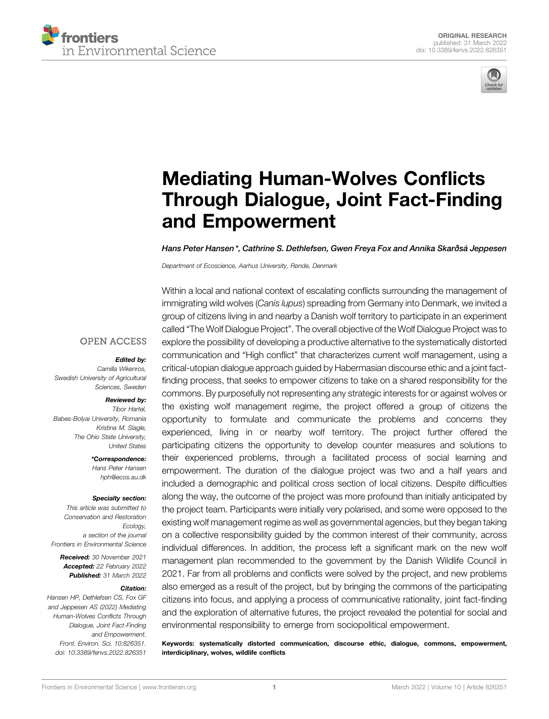



# [Mediating Human-Wolves Con](https://www.frontiersin.org/articles/10.3389/fenvs.2022.826351/full)flicts [Through Dialogue, Joint Fact-Finding](https://www.frontiersin.org/articles/10.3389/fenvs.2022.826351/full) [and Empowerment](https://www.frontiersin.org/articles/10.3389/fenvs.2022.826351/full)

Hans Peter Hansen \*, Cathrine S. Dethlefsen, Gwen Freya Fox and Annika Skarðsá Jeppesen

Department of Ecoscience, Aarhus University, Rønde, Denmark

#### **OPEN ACCESS**

#### Edited by:

Camilla Wikenros, Swedish University of Agricultural Sciences, Sweden

#### Reviewed by:

Tibor Hartel, Babes-Bolyai University, Romania Kristina M. Slagle, The Ohio State University, United States

> \*Correspondence: Hans Peter Hansen [hph@ecos.au.dk](mailto:hph@ecos.au.dk)

#### Specialty section:

This article was submitted to Conservation and Restoration Ecology, a section of the journal Frontiers in Environmental Science

Received: 30 November 2021 Accepted: 22 February 2022 Published: 31 March 2022

#### Citation:

Hansen HP, Dethlefsen CS, Fox GF and Jeppesen AS (2022) Mediating Human-Wolves Conflicts Through Dialogue, Joint Fact-Finding and Empowerment. Front. Environ. Sci. 10:826351. doi: [10.3389/fenvs.2022.826351](https://doi.org/10.3389/fenvs.2022.826351)

Within a local and national context of escalating conflicts surrounding the management of immigrating wild wolves (Canis lupus) spreading from Germany into Denmark, we invited a group of citizens living in and nearby a Danish wolf territory to participate in an experiment called "The Wolf Dialogue Project". The overall objective of the Wolf Dialogue Project was to explore the possibility of developing a productive alternative to the systematically distorted communication and "High conflict" that characterizes current wolf management, using a critical-utopian dialogue approach guided by Habermasian discourse ethic and a joint factfinding process, that seeks to empower citizens to take on a shared responsibility for the commons. By purposefully not representing any strategic interests for or against wolves or the existing wolf management regime, the project offered a group of citizens the opportunity to formulate and communicate the problems and concerns they experienced, living in or nearby wolf territory. The project further offered the participating citizens the opportunity to develop counter measures and solutions to their experienced problems, through a facilitated process of social learning and empowerment. The duration of the dialogue project was two and a half years and included a demographic and political cross section of local citizens. Despite difficulties along the way, the outcome of the project was more profound than initially anticipated by the project team. Participants were initially very polarised, and some were opposed to the existing wolf management regime as well as governmental agencies, but they began taking on a collective responsibility guided by the common interest of their community, across individual differences. In addition, the process left a significant mark on the new wolf management plan recommended to the government by the Danish Wildlife Council in 2021. Far from all problems and conflicts were solved by the project, and new problems also emerged as a result of the project, but by bringing the commons of the participating citizens into focus, and applying a process of communicative rationality, joint fact-finding and the exploration of alternative futures, the project revealed the potential for social and environmental responsibility to emerge from sociopolitical empowerment.

Keywords: systematically distorted communication, discourse ethic, dialogue, commons, empowerment, interdiciplinary, wolves, wildlife conflicts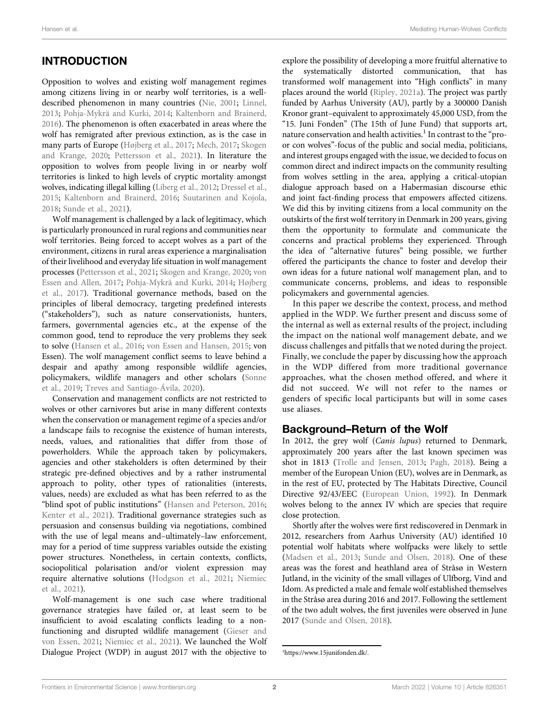# INTRODUCTION

Opposition to wolves and existing wolf management regimes among citizens living in or nearby wolf territories, is a welldescribed phenomenon in many countries [\(Nie, 2001;](#page-14-0) [Linnel,](#page-14-1) [2013](#page-14-1); [Pohja-Mykrä and Kurki, 2014;](#page-14-2) [Kaltenborn and Brainerd,](#page-13-0) [2016](#page-13-0)). The phenomenon is often exacerbated in areas where the wolf has remigrated after previous extinction, as is the case in many parts of Europe [\(Højberg et al., 2017](#page-13-1); [Mech, 2017](#page-14-3); [Skogen](#page-14-4) [and Krange, 2020](#page-14-4); [Pettersson et al., 2021](#page-14-5)). In literature the opposition to wolves from people living in or nearby wolf territories is linked to high levels of cryptic mortality amongst wolves, indicating illegal killing ([Liberg et al., 2012](#page-14-6); [Dressel et al.,](#page-13-2) [2015](#page-13-2); [Kaltenborn and Brainerd, 2016](#page-13-0); [Suutarinen and Kojola,](#page-14-7) [2018](#page-14-7); [Sunde et al., 2021](#page-14-8)).

Wolf management is challenged by a lack of legitimacy, which is particularly pronounced in rural regions and communities near wolf territories. Being forced to accept wolves as a part of the environment, citizens in rural areas experience a marginalisation of their livelihood and everyday life situation in wolf management processes [\(Pettersson et al., 2021;](#page-14-5) [Skogen and Krange, 2020](#page-14-4); [von](#page-14-9) [Essen and Allen, 2017](#page-14-9); [Pohja-Mykrä and Kurki, 2014;](#page-14-2) [Højberg](#page-13-1) [et al., 2017\)](#page-13-1). Traditional governance methods, based on the principles of liberal democracy, targeting predefined interests ("stakeholders"), such as nature conservationists, hunters, farmers, governmental agencies etc., at the expense of the common good, tend to reproduce the very problems they seek to solve ([Hansen et al., 2016](#page-13-3); [von Essen and Hansen, 2015;](#page-14-10) von Essen). The wolf management conflict seems to leave behind a despair and apathy among responsible wildlife agencies, policymakers, wildlife managers and other scholars ([Sonne](#page-14-11) [et al., 2019](#page-14-11); [Treves and Santiago-Ávila, 2020\)](#page-14-12).

Conservation and management conflicts are not restricted to wolves or other carnivores but arise in many different contexts when the conservation or management regime of a species and/or a landscape fails to recognise the existence of human interests, needs, values, and rationalities that differ from those of powerholders. While the approach taken by policymakers, agencies and other stakeholders is often determined by their strategic pre-defined objectives and by a rather instrumental approach to polity, other types of rationalities (interests, values, needs) are excluded as what has been referred to as the "blind spot of public institutions" [\(Hansen and Peterson, 2016](#page-13-4); [Kenter et al., 2021\)](#page-13-5). Traditional governance strategies such as persuasion and consensus building via negotiations, combined with the use of legal means and–ultimately–law enforcement, may for a period of time suppress variables outside the existing power structures. Nonetheless, in certain contexts, conflicts, sociopolitical polarisation and/or violent expression may require alternative solutions ([Hodgson et al., 2021](#page-13-6); [Niemiec](#page-14-13) [et al., 2021](#page-14-13)).

Wolf-management is one such case where traditional governance strategies have failed or, at least seem to be insufficient to avoid escalating conflicts leading to a nonfunctioning and disrupted wildlife management ([Gieser and](#page-13-7) [von Essen, 2021](#page-13-7); [Niemiec et al., 2021](#page-14-13)). We launched the Wolf Dialogue Project (WDP) in august 2017 with the objective to

explore the possibility of developing a more fruitful alternative to the systematically distorted communication, that has transformed wolf management into "High conflicts" in many places around the world ([Ripley, 2021a\)](#page-14-14). The project was partly funded by Aarhus University (AU), partly by a 300000 Danish Kronor grant–equivalent to approximately 45,000 USD, from the "15. Juni Fonden" (The 15th of June Fund) that supports art, nature conservation and health activities.<sup>1</sup> In contrast to the "proor con wolves"-focus of the public and social media, politicians, and interest groups engaged with the issue, we decided to focus on common direct and indirect impacts on the community resulting from wolves settling in the area, applying a critical-utopian dialogue approach based on a Habermasian discourse ethic and joint fact-finding process that empowers affected citizens. We did this by inviting citizens from a local community on the outskirts of the first wolf territory in Denmark in 200 years, giving them the opportunity to formulate and communicate the concerns and practical problems they experienced. Through the idea of "alternative futures" being possible, we further offered the participants the chance to foster and develop their own ideas for a future national wolf management plan, and to communicate concerns, problems, and ideas to responsible policymakers and governmental agencies.

In this paper we describe the context, process, and method applied in the WDP. We further present and discuss some of the internal as well as external results of the project, including the impact on the national wolf management debate, and we discuss challenges and pitfalls that we noted during the project. Finally, we conclude the paper by discussing how the approach in the WDP differed from more traditional governance approaches, what the chosen method offered, and where it did not succeed. We will not refer to the names or genders of specific local participants but will in some cases use aliases.

### Background–Return of the Wolf

In 2012, the grey wolf (Canis lupus) returned to Denmark, approximately 200 years after the last known specimen was shot in 1813 ([Trolle and Jensen, 2013;](#page-14-15) [Pagh, 2018](#page-14-16)). Being a member of the European Union (EU), wolves are in Denmark, as in the rest of EU, protected by The Habitats Directive, Council Directive 92/43/EEC [\(European Union, 1992\)](#page-13-8). In Denmark wolves belong to the annex IV which are species that require close protection.

Shortly after the wolves were first rediscovered in Denmark in 2012, researchers from Aarhus University (AU) identified 10 potential wolf habitats where wolfpacks were likely to settle [\(Madsen et al., 2013;](#page-14-17) [Sunde and Olsen, 2018](#page-14-7)). One of these areas was the forest and heathland area of Stråsø in Western Jutland, in the vicinity of the small villages of Ulfborg, Vind and Idom. As predicted a male and female wolf established themselves in the Stråsø area during 2016 and 2017. Following the settlement of the two adult wolves, the first juveniles were observed in June 2017 ([Sunde and Olsen, 2018\)](#page-14-7).

<sup>1</sup> <https://www.15junifonden.dk/>.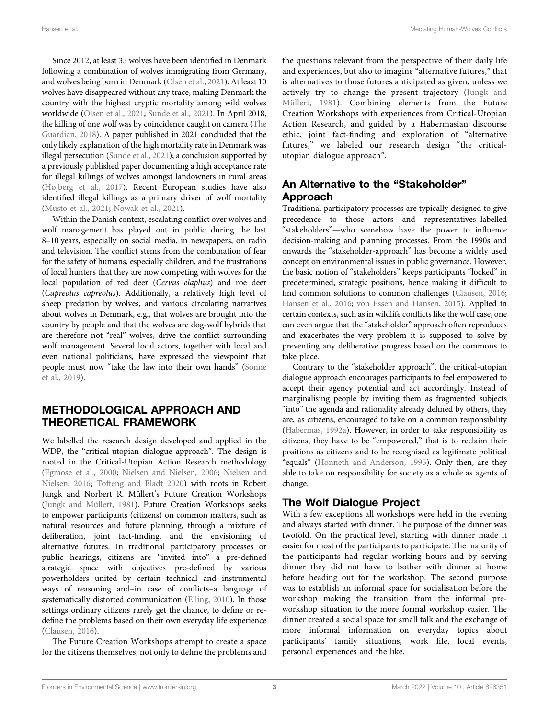Since 2012, at least 35 wolves have been identified in Denmark following a combination of wolves immigrating from Germany, and wolves being born in Denmark ([Olsen et al., 2021](#page-14-18)). At least 10 wolves have disappeared without any trace, making Denmark the country with the highest cryptic mortality among wild wolves worldwide ([Olsen et al., 2021](#page-14-18); [Sunde et al., 2021\)](#page-14-8). In April 2018, the killing of one wolf was by coincidence caught on camera [\(The](#page-14-19) [Guardian, 2018](#page-14-19)). A paper published in 2021 concluded that the only likely explanation of the high mortality rate in Denmark was illegal persecution [\(Sunde et al., 2021\)](#page-14-8); a conclusion supported by a previously published paper documenting a high acceptance rate for illegal killings of wolves amongst landowners in rural areas ([Højberg et al., 2017](#page-13-1)). Recent European studies have also identified illegal killings as a primary driver of wolf mortality ([Musto et al., 2021;](#page-14-20) [Nowak et al., 2021](#page-14-21)).

Within the Danish context, escalating conflict over wolves and wolf management has played out in public during the last 8–10 years, especially on social media, in newspapers, on radio and television. The conflict stems from the combination of fear for the safety of humans, especially children, and the frustrations of local hunters that they are now competing with wolves for the local population of red deer (Cervus elaphus) and roe deer (Capreolus capreolus). Additionally, a relatively high level of sheep predation by wolves, and various circulating narratives about wolves in Denmark, e.g., that wolves are brought into the country by people and that the wolves are dog-wolf hybrids that are therefore not "real" wolves, drive the conflict surrounding wolf management. Several local actors, together with local and even national politicians, have expressed the viewpoint that people must now "take the law into their own hands" ([Sonne](#page-14-11) [et al., 2019](#page-14-11)).

# METHODOLOGICAL APPROACH AND THEORETICAL FRAMEWORK

We labelled the research design developed and applied in the WDP, the "critical-utopian dialogue approach". The design is rooted in the Critical-Utopian Action Research methodology ([Egmose et al., 2000](#page-13-9); [Nielsen and Nielsen, 2006](#page-14-22); [Nielsen and](#page-14-23) [Nielsen, 2016](#page-14-23); [Tofteng and Bladt 2020](#page-14-24)) with roots in Robert Jungk and Norbert R. Müllert's Future Creation Workshops ([Jungk and Müllert, 1981](#page-13-10)). Future Creation Workshops seeks to empower participants (citizens) on common matters, such as natural resources and future planning, through a mixture of deliberation, joint fact-finding, and the envisioning of alternative futures. In traditional participatory processes or public hearings, citizens are "invited into" a pre-defined strategic space with objectives pre-defined by various powerholders united by certain technical and instrumental ways of reasoning and–in case of conflicts–a language of systematically distorted communication ([Elling, 2010](#page-13-11)). In those settings ordinary citizens rarely get the chance, to define or redefine the problems based on their own everyday life experience ([Clausen, 2016](#page-13-12)).

The Future Creation Workshops attempt to create a space for the citizens themselves, not only to define the problems and the questions relevant from the perspective of their daily life and experiences, but also to imagine "alternative futures," that is alternatives to those futures anticipated as given, unless we actively try to change the present trajectory [\(Jungk and](#page-13-10) [Müllert, 1981](#page-13-10)). Combining elements from the Future Creation Workshops with experiences from Critical-Utopian Action Research, and guided by a Habermasian discourse ethic, joint fact-finding and exploration of "alternative futures," we labeled our research design "the criticalutopian dialogue approach".

# An Alternative to the "Stakeholder" Approach

Traditional participatory processes are typically designed to give precedence to those actors and representatives–labelled "stakeholders"—who somehow have the power to influence decision-making and planning processes. From the 1990s and onwards the "stakeholder-approach" has become a widely used concept on environmental issues in public governance. However, the basic notion of "stakeholders" keeps participants "locked" in predetermined, strategic positions, hence making it difficult to find common solutions to common challenges ([Clausen, 2016;](#page-13-12) [Hansen et al., 2016](#page-13-3); [von Essen and Hansen, 2015\)](#page-14-10). Applied in certain contexts, such as in wildlife conflicts like the wolf case, one can even argue that the "stakeholder" approach often reproduces and exacerbates the very problem it is supposed to solve by preventing any deliberative progress based on the commons to take place.

Contrary to the "stakeholder approach", the critical-utopian dialogue approach encourages participants to feel empowered to accept their agency potential and act accordingly. Instead of marginalising people by inviting them as fragmented subjects "into" the agenda and rationality already defined by others, they are, as citizens, encouraged to take on a common responsibility [\(Habermas, 1992a\)](#page-13-13). However, in order to take responsibility as citizens, they have to be "empowered," that is to reclaim their positions as citizens and to be recognised as legitimate political "equals" ([Honneth and Anderson, 1995\)](#page-13-14). Only then, are they able to take on responsibility for society as a whole as agents of change.

# The Wolf Dialogue Project

With a few exceptions all workshops were held in the evening and always started with dinner. The purpose of the dinner was twofold. On the practical level, starting with dinner made it easier for most of the participants to participate. The majority of the participants had regular working hours and by serving dinner they did not have to bother with dinner at home before heading out for the workshop. The second purpose was to establish an informal space for socialisation before the workshop making the transition from the informal preworkshop situation to the more formal workshop easier. The dinner created a social space for small talk and the exchange of more informal information on everyday topics about participants' family situations, work life, local events, personal experiences and the like.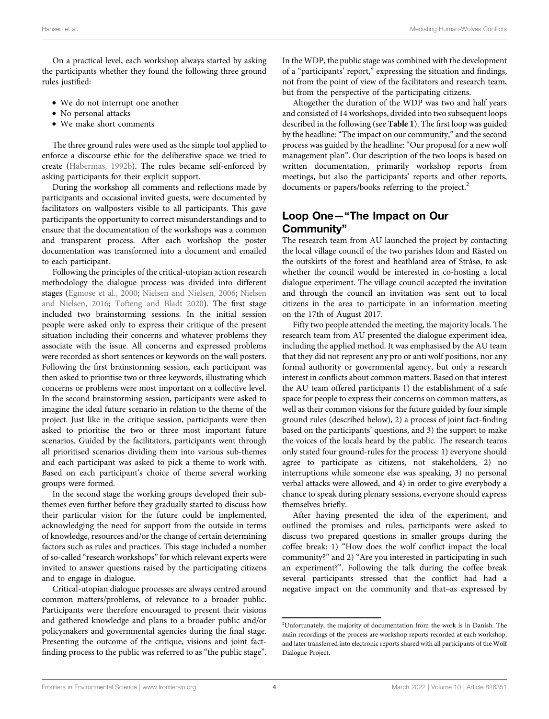On a practical level, each workshop always started by asking the participants whether they found the following three ground rules justified:

- We do not interrupt one another
- No personal attacks
- We make short comments

The three ground rules were used as the simple tool applied to enforce a discourse ethic for the deliberative space we tried to create [\(Habermas, 1992b](#page-13-15)). The rules became self-enforced by asking participants for their explicit support.

During the workshop all comments and reflections made by participants and occasional invited guests, were documented by facilitators on wallposters visible to all participants. This gave participants the opportunity to correct misunderstandings and to ensure that the documentation of the workshops was a common and transparent process. After each workshop the poster documentation was transformed into a document and emailed to each participant.

Following the principles of the critical-utopian action research methodology the dialogue process was divided into different stages [\(Egmose et al., 2000](#page-13-9); [Nielsen and Nielsen, 2006](#page-14-22); [Nielsen](#page-14-23) [and Nielsen, 2016;](#page-14-23) [Tofteng and Bladt 2020\)](#page-14-24). The first stage included two brainstorming sessions. In the initial session people were asked only to express their critique of the present situation including their concerns and whatever problems they associate with the issue. All concerns and expressed problems were recorded as short sentences or keywords on the wall posters. Following the first brainstorming session, each participant was then asked to prioritise two or three keywords, illustrating which concerns or problems were most important on a collective level. In the second brainstorming session, participants were asked to imagine the ideal future scenario in relation to the theme of the project. Just like in the critique session, participants were then asked to prioritise the two or three most important future scenarios. Guided by the facilitators, participants went through all prioritised scenarios dividing them into various sub-themes and each participant was asked to pick a theme to work with. Based on each participant's choice of theme several working groups were formed.

In the second stage the working groups developed their subthemes even further before they gradually started to discuss how their particular vision for the future could be implemented, acknowledging the need for support from the outside in terms of knowledge, resources and/or the change of certain determining factors such as rules and practices. This stage included a number of so-called "research workshops" for which relevant experts were invited to answer questions raised by the participating citizens and to engage in dialogue.

Critical-utopian dialogue processes are always centred around common matters/problems, of relevance to a broader public. Participants were therefore encouraged to present their visions and gathered knowledge and plans to a broader public and/or policymakers and governmental agencies during the final stage. Presenting the outcome of the critique, visions and joint factfinding process to the public was referred to as "the public stage". In the WDP, the public stage was combined with the development of a "participants' report," expressing the situation and findings, not from the point of view of the facilitators and research team, but from the perspective of the participating citizens.

Altogether the duration of the WDP was two and half years and consisted of 14 workshops, divided into two subsequent loops described in the following (see [Table 1](#page-4-0)). The first loop was guided by the headline: "The impact on our community," and the second process was guided by the headline: "Our proposal for a new wolf management plan". Our description of the two loops is based on written documentation, primarily workshop reports from meetings, but also the participants' reports and other reports, documents or papers/books referring to the project.<sup>2</sup>

### Loop One—"The Impact on Our Community"

The research team from AU launched the project by contacting the local village council of the two parishes Idom and Råsted on the outskirts of the forest and heathland area of Stråsø, to ask whether the council would be interested in co-hosting a local dialogue experiment. The village council accepted the invitation and through the council an invitation was sent out to local citizens in the area to participate in an information meeting on the 17th of August 2017.

Fifty two people attended the meeting, the majority locals. The research team from AU presented the dialogue experiment idea, including the applied method. It was emphasised by the AU team that they did not represent any pro or anti wolf positions, nor any formal authority or governmental agency, but only a research interest in conflicts about common matters. Based on that interest the AU team offered participants 1) the establishment of a safe space for people to express their concerns on common matters, as well as their common visions for the future guided by four simple ground rules (described below), 2) a process of joint fact-finding based on the participants' questions, and 3) the support to make the voices of the locals heard by the public. The research teams only stated four ground-rules for the process: 1) everyone should agree to participate as citizens, not stakeholders, 2) no interruptions while someone else was speaking, 3) no personal verbal attacks were allowed, and 4) in order to give everybody a chance to speak during plenary sessions, everyone should express themselves briefly.

After having presented the idea of the experiment, and outlined the promises and rules, participants were asked to discuss two prepared questions in smaller groups during the coffee break: 1) "How does the wolf conflict impact the local community?" and 2) "Are you interested in participating in such an experiment?". Following the talk during the coffee break several participants stressed that the conflict had had a negative impact on the community and that–as expressed by

<sup>2</sup> Unfortunately, the majority of documentation from the work is in Danish. The main recordings of the process are workshop reports recorded at each workshop, and later transferred into electronic reports shared with all participants of the Wolf Dialogue Project.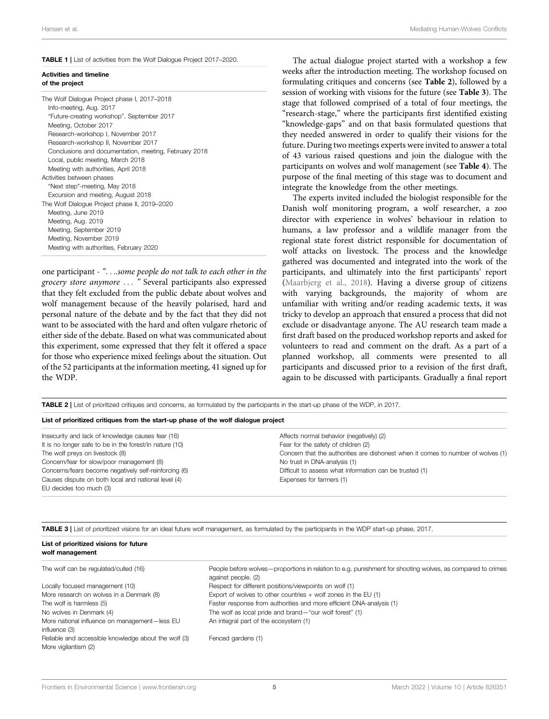#### <span id="page-4-0"></span>TABLE 1 | List of activities from the Wolf Dialogue Project 2017–2020.

#### Activities and timeline of the project

| The Wolf Dialogue Project phase I, 2017–2018<br>Info-meeting, Aug. 2017 |
|-------------------------------------------------------------------------|
| "Future-creating workshop". September 2017                              |
| Meeting, October 2017                                                   |
| Research-workshop I, November 2017                                      |
| Research-workshop II, November 2017                                     |
| Conclusions and documentation, meeting, February 2018                   |
| Local, public meeting, March 2018                                       |
| Meeting with authorities, April 2018                                    |
| Activities between phases                                               |
| "Next step"-meeting, May 2018                                           |
| Excursion and meeting, August 2018                                      |
| The Wolf Dialogue Project phase II, 2019–2020                           |
| Meeting, June 2019                                                      |
| Meeting, Aug. 2019                                                      |
| Meeting, September 2019                                                 |
| Meeting, November 2019                                                  |
| Meeting with authorities, February 2020                                 |

one participant - "....some people do not talk to each other in the grocery store anymore ... " Several participants also expressed that they felt excluded from the public debate about wolves and wolf management because of the heavily polarised, hard and personal nature of the debate and by the fact that they did not want to be associated with the hard and often vulgare rhetoric of either side of the debate. Based on what was communicated about this experiment, some expressed that they felt it offered a space for those who experience mixed feelings about the situation. Out of the 52 participants at the information meeting, 41 signed up for the WDP.

The actual dialogue project started with a workshop a few weeks after the introduction meeting. The workshop focused on formulating critiques and concerns (see [Table 2](#page-4-1)), followed by a session of working with visions for the future (see [Table 3](#page-4-2)). The stage that followed comprised of a total of four meetings, the "research-stage," where the participants first identified existing "knowledge-gaps" and on that basis formulated questions that they needed answered in order to qualify their visions for the future. During two meetings experts were invited to answer a total of 43 various raised questions and join the dialogue with the participants on wolves and wolf management (see [Table 4](#page-5-0)). The purpose of the final meeting of this stage was to document and integrate the knowledge from the other meetings.

The experts invited included the biologist responsible for the Danish wolf monitoring program, a wolf researcher, a zoo director with experience in wolves' behaviour in relation to humans, a law professor and a wildlife manager from the regional state forest district responsible for documentation of wolf attacks on livestock. The process and the knowledge gathered was documented and integrated into the work of the participants, and ultimately into the first participants' report [\(Maarbjerg et al., 2018\)](#page-14-25). Having a diverse group of citizens with varying backgrounds, the majority of whom are unfamiliar with writing and/or reading academic texts, it was tricky to develop an approach that ensured a process that did not exclude or disadvantage anyone. The AU research team made a first draft based on the produced workshop reports and asked for volunteers to read and comment on the draft. As a part of a planned workshop, all comments were presented to all participants and discussed prior to a revision of the first draft, again to be discussed with participants. Gradually a final report

<span id="page-4-1"></span>TABLE 2 | List of prioritized critiques and concerns, as formulated by the participants in the start-up phase of the WDP, in 2017.

|  |  |  | List of prioritized critiques from the start-up phase of the wolf dialogue project |  |
|--|--|--|------------------------------------------------------------------------------------|--|
|--|--|--|------------------------------------------------------------------------------------|--|

| Insecurity and lack of knowledge causes fear (16)       | Affects normal behavior (negatively) (2)                                         |
|---------------------------------------------------------|----------------------------------------------------------------------------------|
| It is no longer safe to be in the forest/in nature (10) | Fear for the safety of children (2)                                              |
| The wolf preys on livestock (8)                         | Concern that the authorities are dishonest when it comes to number of wolves (1) |
| Concern/fear for slow/poor management (8)               | No trust in DNA-analysis (1)                                                     |
| Concerns/fears become negatively self-reinforcing (6)   | Difficult to assess what information can be trusted (1)                          |
| Causes dispute on both local and national level (4)     | Expenses for farmers (1)                                                         |
| EU decides too much (3)                                 |                                                                                  |

<span id="page-4-2"></span>TABLE 3 | List of prioritized visions for an ideal future wolf management, as formulated by the participants in the WDP start-up phase, 2017.

#### List of prioritized visions for future wolf management

| The wolf can be regulated/culled (16)                                        | People before wolves—proportions in relation to e.g. punishment for shooting wolves, as compared to crimes<br>against people. (2) |
|------------------------------------------------------------------------------|-----------------------------------------------------------------------------------------------------------------------------------|
| Locally focused management (10)                                              | Respect for different positions/viewpoints on wolf (1)                                                                            |
| More research on wolves in a Denmark (8)                                     | Export of wolves to other countries $+$ wolf zones in the EU (1)                                                                  |
| The wolf is harmless (5)                                                     | Faster response from authorities and more efficient DNA-analysis (1)                                                              |
| No wolves in Denmark (4)                                                     | The wolf as local pride and brand-"our wolf forest" (1)                                                                           |
| More national influence on management-less EU<br>influence (3)               | An integral part of the ecosystem (1)                                                                                             |
| Reliable and accessible knowledge about the wolf (3)<br>More vigilantism (2) | Fenced gardens (1)                                                                                                                |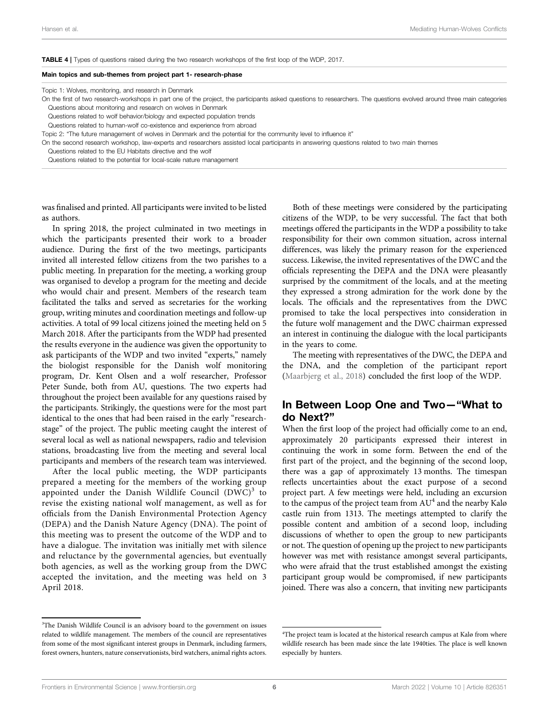<span id="page-5-0"></span>TABLE 4 | Types of questions raised during the two research workshops of the first loop of the WDP, 2017.

#### Main topics and sub-themes from project part 1- research-phase

Topic 1: Wolves, monitoring, and research in Denmark

On the first of two research-workshops in part one of the project, the participants asked questions to researchers. The questions evolved around three main categories Questions about monitoring and research on wolves in Denmark

Questions related to wolf behavior/biology and expected population trends

Questions related to human-wolf co-existence and experience from abroad

Topic 2: "The future management of wolves in Denmark and the potential for the community level to influence it"

On the second research workshop, law-experts and researchers assisted local participants in answering questions related to two main themes

Questions related to the EU Habitats directive and the wolf

Questions related to the potential for local-scale nature management

was finalised and printed. All participants were invited to be listed as authors.

In spring 2018, the project culminated in two meetings in which the participants presented their work to a broader audience. During the first of the two meetings, participants invited all interested fellow citizens from the two parishes to a public meeting. In preparation for the meeting, a working group was organised to develop a program for the meeting and decide who would chair and present. Members of the research team facilitated the talks and served as secretaries for the working group, writing minutes and coordination meetings and follow-up activities. A total of 99 local citizens joined the meeting held on 5 March 2018. After the participants from the WDP had presented the results everyone in the audience was given the opportunity to ask participants of the WDP and two invited "experts," namely the biologist responsible for the Danish wolf monitoring program, Dr. Kent Olsen and a wolf researcher, Professor Peter Sunde, both from AU, questions. The two experts had throughout the project been available for any questions raised by the participants. Strikingly, the questions were for the most part identical to the ones that had been raised in the early "researchstage" of the project. The public meeting caught the interest of several local as well as national newspapers, radio and television stations, broadcasting live from the meeting and several local participants and members of the research team was interviewed.

After the local public meeting, the WDP participants prepared a meeting for the members of the working group appointed under the Danish Wildlife Council  $(DWC)^3$  to revise the existing national wolf management, as well as for officials from the Danish Environmental Protection Agency (DEPA) and the Danish Nature Agency (DNA). The point of this meeting was to present the outcome of the WDP and to have a dialogue. The invitation was initially met with silence and reluctance by the governmental agencies, but eventually both agencies, as well as the working group from the DWC accepted the invitation, and the meeting was held on 3 April 2018.

<sup>3</sup>The Danish Wildlife Council is an advisory board to the government on issues related to wildlife management. The members of the council are representatives from some of the most significant interest groups in Denmark, including farmers, forest owners, hunters, nature conservationists, bird watchers, animal rights actors.

Both of these meetings were considered by the participating citizens of the WDP, to be very successful. The fact that both meetings offered the participants in the WDP a possibility to take responsibility for their own common situation, across internal differences, was likely the primary reason for the experienced success. Likewise, the invited representatives of the DWC and the officials representing the DEPA and the DNA were pleasantly surprised by the commitment of the locals, and at the meeting they expressed a strong admiration for the work done by the locals. The officials and the representatives from the DWC promised to take the local perspectives into consideration in the future wolf management and the DWC chairman expressed an interest in continuing the dialogue with the local participants in the years to come.

The meeting with representatives of the DWC, the DEPA and the DNA, and the completion of the participant report [\(Maarbjerg et al., 2018](#page-14-25)) concluded the first loop of the WDP.

#### In Between Loop One and Two—"What to do Next?"

When the first loop of the project had officially come to an end, approximately 20 participants expressed their interest in continuing the work in some form. Between the end of the first part of the project, and the beginning of the second loop, there was a gap of approximately 13 months. The timespan reflects uncertainties about the exact purpose of a second project part. A few meetings were held, including an excursion to the campus of the project team from  $AU^4$  and the nearby Kalø castle ruin from 1313. The meetings attempted to clarify the possible content and ambition of a second loop, including discussions of whether to open the group to new participants or not. The question of opening up the project to new participants however was met with resistance amongst several participants, who were afraid that the trust established amongst the existing participant group would be compromised, if new participants joined. There was also a concern, that inviting new participants

<sup>4</sup> The project team is located at the historical research campus at Kalø from where wildlife research has been made since the late 1940ties. The place is well known especially by hunters.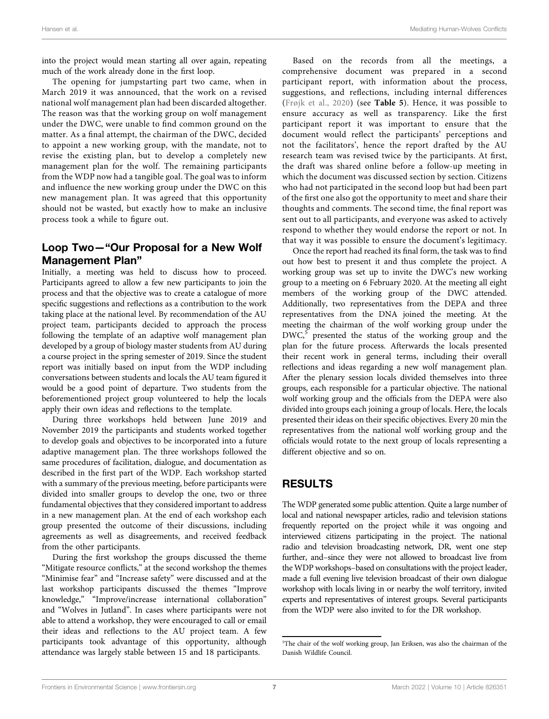into the project would mean starting all over again, repeating much of the work already done in the first loop.

The opening for jumpstarting part two came, when in March 2019 it was announced, that the work on a revised national wolf management plan had been discarded altogether. The reason was that the working group on wolf management under the DWC, were unable to find common ground on the matter. As a final attempt, the chairman of the DWC, decided to appoint a new working group, with the mandate, not to revise the existing plan, but to develop a completely new management plan for the wolf. The remaining participants from the WDP now had a tangible goal. The goal was to inform and influence the new working group under the DWC on this new management plan. It was agreed that this opportunity should not be wasted, but exactly how to make an inclusive process took a while to figure out.

### Loop Two—"Our Proposal for a New Wolf Management Plan"

Initially, a meeting was held to discuss how to proceed. Participants agreed to allow a few new participants to join the process and that the objective was to create a catalogue of more specific suggestions and reflections as a contribution to the work taking place at the national level. By recommendation of the AU project team, participants decided to approach the process following the template of an adaptive wolf management plan developed by a group of biology master students from AU during a course project in the spring semester of 2019. Since the student report was initially based on input from the WDP including conversations between students and locals the AU team figured it would be a good point of departure. Two students from the beforementioned project group volunteered to help the locals apply their own ideas and reflections to the template.

During three workshops held between June 2019 and November 2019 the participants and students worked together to develop goals and objectives to be incorporated into a future adaptive management plan. The three workshops followed the same procedures of facilitation, dialogue, and documentation as described in the first part of the WDP. Each workshop started with a summary of the previous meeting, before participants were divided into smaller groups to develop the one, two or three fundamental objectives that they considered important to address in a new management plan. At the end of each workshop each group presented the outcome of their discussions, including agreements as well as disagreements, and received feedback from the other participants.

During the first workshop the groups discussed the theme "Mitigate resource conflicts," at the second workshop the themes "Minimise fear" and "Increase safety" were discussed and at the last workshop participants discussed the themes "Improve knowledge," "Improve/increase international collaboration" and "Wolves in Jutland". In cases where participants were not able to attend a workshop, they were encouraged to call or email their ideas and reflections to the AU project team. A few participants took advantage of this opportunity, although attendance was largely stable between 15 and 18 participants.

Based on the records from all the meetings, a comprehensive document was prepared in a second participant report, with information about the process, suggestions, and reflections, including internal differences ([Frøjk et al., 2020\)](#page-13-16) (see [Table 5](#page-7-0)). Hence, it was possible to ensure accuracy as well as transparency. Like the first participant report it was important to ensure that the document would reflect the participants' perceptions and not the facilitators', hence the report drafted by the AU research team was revised twice by the participants. At first, the draft was shared online before a follow-up meeting in which the document was discussed section by section. Citizens who had not participated in the second loop but had been part of the first one also got the opportunity to meet and share their thoughts and comments. The second time, the final report was sent out to all participants, and everyone was asked to actively respond to whether they would endorse the report or not. In that way it was possible to ensure the document's legitimacy.

Once the report had reached its final form, the task was to find out how best to present it and thus complete the project. A working group was set up to invite the DWC's new working group to a meeting on 6 February 2020. At the meeting all eight members of the working group of the DWC attended. Additionally, two representatives from the DEPA and three representatives from the DNA joined the meeting. At the meeting the chairman of the wolf working group under the  $DWC<sub>2</sub>$ <sup>5</sup> presented the status of the working group and the plan for the future process. Afterwards the locals presented their recent work in general terms, including their overall reflections and ideas regarding a new wolf management plan. After the plenary session locals divided themselves into three groups, each responsible for a particular objective. The national wolf working group and the officials from the DEPA were also divided into groups each joining a group of locals. Here, the locals presented their ideas on their specific objectives. Every 20 min the representatives from the national wolf working group and the officials would rotate to the next group of locals representing a different objective and so on.

### RESULTS

The WDP generated some public attention. Quite a large number of local and national newspaper articles, radio and television stations frequently reported on the project while it was ongoing and interviewed citizens participating in the project. The national radio and television broadcasting network, DR, went one step further, and–since they were not allowed to broadcast live from the WDP workshops–based on consultations with the project leader, made a full evening live television broadcast of their own dialogue workshop with locals living in or nearby the wolf territory, invited experts and representatives of interest groups. Several participants from the WDP were also invited to for the DR workshop.

<sup>5</sup> The chair of the wolf working group, Jan Eriksen, was also the chairman of the Danish Wildlife Council.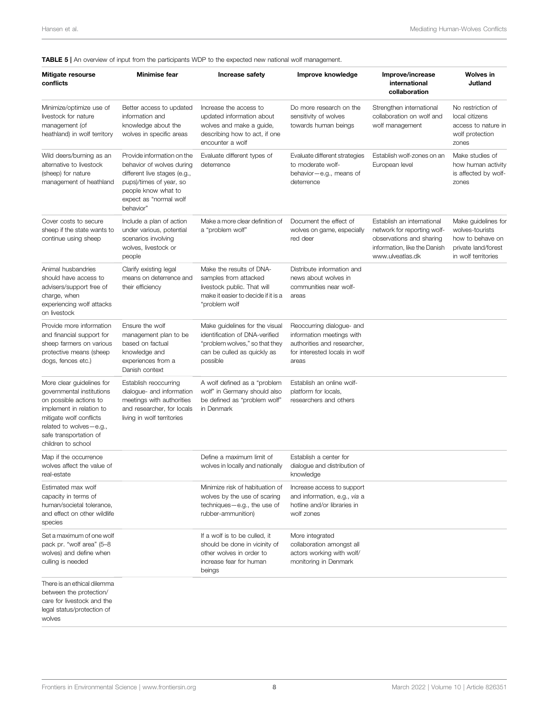#### <span id="page-7-0"></span>TABLE 5 | An overview of input from the participants WDP to the expected new national wolf management.

| Mitigate resourse<br>conflicts                                                                                                                                                                                     | <b>Minimise fear</b>                                                                                                                                                             | Increase safety                                                                                                                               | Improve knowledge                                                                                                               | Improve/increase<br>international<br>collaboration                                                                                        | <b>Wolves</b> in<br>Jutland                                                                              |
|--------------------------------------------------------------------------------------------------------------------------------------------------------------------------------------------------------------------|----------------------------------------------------------------------------------------------------------------------------------------------------------------------------------|-----------------------------------------------------------------------------------------------------------------------------------------------|---------------------------------------------------------------------------------------------------------------------------------|-------------------------------------------------------------------------------------------------------------------------------------------|----------------------------------------------------------------------------------------------------------|
| Minimize/optimize use of<br>livestock for nature<br>management (of<br>heathland) in wolf territory                                                                                                                 | Better access to updated<br>information and<br>knowledge about the<br>wolves in specific areas                                                                                   | Increase the access to<br>updated information about<br>wolves and make a quide,<br>describing how to act, if one<br>encounter a wolf          | Do more research on the<br>sensitivity of wolves<br>towards human beings                                                        | Strengthen international<br>collaboration on wolf and<br>wolf management                                                                  | No restriction of<br>local citizens<br>access to nature in<br>wolf protection<br>zones                   |
| Wild deers/burning as an<br>alternative to livestock<br>(sheep) for nature<br>management of heathland                                                                                                              | Provide information on the<br>behavior of wolves during<br>different live stages (e.g.,<br>pups)/times of year, so<br>people know what to<br>expect as "normal wolf<br>behavior" | Evaluate different types of<br>deterrence                                                                                                     | Evaluate different strategies<br>to moderate wolf-<br>behavior-e.g., means of<br>deterrence                                     | Establish wolf-zones on an<br>European level                                                                                              | Make studies of<br>how human activity<br>is affected by wolf-<br>zones                                   |
| Cover costs to secure<br>sheep if the state wants to<br>continue using sheep                                                                                                                                       | Include a plan of action<br>under various, potential<br>scenarios involving<br>wolves, livestock or<br>people                                                                    | Make a more clear definition of<br>a "problem wolf"                                                                                           | Document the effect of<br>wolves on game, especially<br>red deer                                                                | Establish an international<br>network for reporting wolf-<br>observations and sharing<br>information, like the Danish<br>www.ulveatlas.dk | Make guidelines for<br>wolves-tourists<br>how to behave on<br>private land/forest<br>in wolf territories |
| Animal husbandries<br>should have access to<br>advisers/support free of<br>charge, when<br>experiencing wolf attacks<br>on livestock                                                                               | Clarify existing legal<br>means on deterrence and<br>their efficiency                                                                                                            | Make the results of DNA-<br>samples from attacked<br>livestock public. That will<br>make it easier to decide if it is a<br>"problem wolf      | Distribute information and<br>news about wolves in<br>communities near wolf-<br>areas                                           |                                                                                                                                           |                                                                                                          |
| Provide more information<br>and financial support for<br>sheep farmers on various<br>protective means (sheep<br>dogs, fences etc.)                                                                                 | Ensure the wolf<br>management plan to be<br>based on factual<br>knowledge and<br>experiences from a<br>Danish context                                                            | Make guidelines for the visual<br>identification of DNA-verified<br>"problem wolves," so that they<br>can be culled as quickly as<br>possible | Reoccurring dialogue- and<br>information meetings with<br>authorities and researcher,<br>for interested locals in wolf<br>areas |                                                                                                                                           |                                                                                                          |
| More clear guidelines for<br>governmental institutions<br>on possible actions to<br>implement in relation to<br>mitigate wolf conflicts<br>related to wolves-e.g.,<br>safe transportation of<br>children to school | Establish reoccurring<br>dialogue- and information<br>meetings with authorities<br>and researcher, for locals<br>living in wolf territories                                      | A wolf defined as a "problem<br>wolf" in Germany should also<br>be defined as "problem wolf"<br>in Denmark                                    | Establish an online wolf-<br>platform for locals.<br>researchers and others                                                     |                                                                                                                                           |                                                                                                          |
| Map if the occurrence<br>wolves affect the value of<br>real-estate                                                                                                                                                 |                                                                                                                                                                                  | Define a maximum limit of<br>wolves in locally and nationally                                                                                 | Establish a center for<br>dialogue and distribution of<br>knowledge                                                             |                                                                                                                                           |                                                                                                          |
| Estimated max wolf<br>capacity in terms of<br>human/societal tolerance,<br>and effect on other wildlife<br>species                                                                                                 |                                                                                                                                                                                  | Minimize risk of habituation of<br>wolves by the use of scaring<br>techniques-e.g., the use of<br>rubber-ammunition)                          | Increase access to support<br>and information, e.g., via a<br>hotline and/or libraries in<br>wolf zones                         |                                                                                                                                           |                                                                                                          |
| Set a maximum of one wolf<br>pack pr. "wolf area" (5-8<br>wolves) and define when<br>culling is needed                                                                                                             |                                                                                                                                                                                  | If a wolf is to be culled, it<br>should be done in vicinity of<br>other wolves in order to<br>increase fear for human<br>beings               | More integrated<br>collaboration amongst all<br>actors working with wolf/<br>monitoring in Denmark                              |                                                                                                                                           |                                                                                                          |
| There is an ethical dilemma<br>between the protection/<br>care for livestock and the<br>legal status/protection of<br>wolves                                                                                       |                                                                                                                                                                                  |                                                                                                                                               |                                                                                                                                 |                                                                                                                                           |                                                                                                          |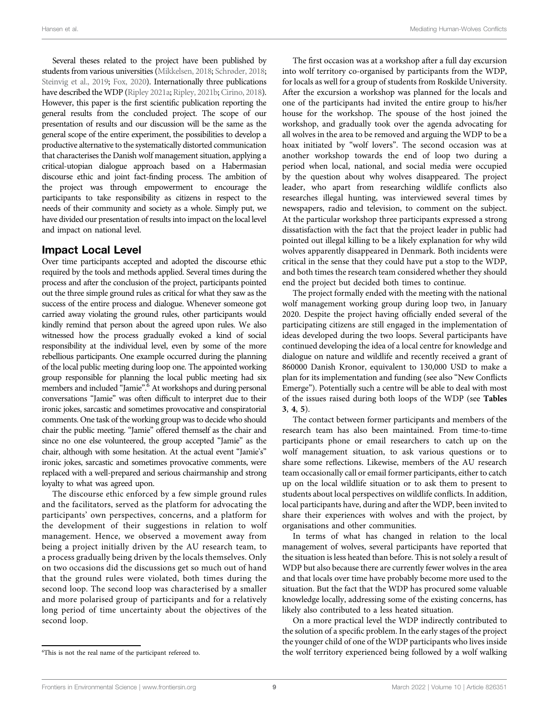Several theses related to the project have been published by students from various universities [\(Mikkelsen, 2018](#page-14-26); [Schrøder, 2018](#page-14-27); [Steinvig et al., 2019](#page-14-28); [Fox, 2020\)](#page-13-17). Internationally three publications have described the WDP [\(Ripley 2021a](#page-14-14); [Ripley, 2021b](#page-14-29); [Cirino, 2018](#page-13-18)). However, this paper is the first scientific publication reporting the general results from the concluded project. The scope of our presentation of results and our discussion will be the same as the general scope of the entire experiment, the possibilities to develop a productive alternative to the systematically distorted communication that characterises the Danish wolf management situation, applying a critical-utopian dialogue approach based on a Habermasian discourse ethic and joint fact-finding process. The ambition of the project was through empowerment to encourage the participants to take responsibility as citizens in respect to the needs of their community and society as a whole. Simply put, we have divided our presentation of results into impact on the local level and impact on national level.

### Impact Local Level

Over time participants accepted and adopted the discourse ethic required by the tools and methods applied. Several times during the process and after the conclusion of the project, participants pointed out the three simple ground rules as critical for what they saw as the success of the entire process and dialogue. Whenever someone got carried away violating the ground rules, other participants would kindly remind that person about the agreed upon rules. We also witnessed how the process gradually evoked a kind of social responsibility at the individual level, even by some of the more rebellious participants. One example occurred during the planning of the local public meeting during loop one. The appointed working group responsible for planning the local public meeting had six members and included "Jamie".<sup>6</sup> At workshops and during personal conversations "Jamie" was often difficult to interpret due to their ironic jokes, sarcastic and sometimes provocative and conspiratorial comments. One task of the working group was to decide who should chair the public meeting. "Jamie" offered themself as the chair and since no one else volunteered, the group accepted "Jamie" as the chair, although with some hesitation. At the actual event "Jamie's" ironic jokes, sarcastic and sometimes provocative comments, were replaced with a well-prepared and serious chairmanship and strong loyalty to what was agreed upon.

The discourse ethic enforced by a few simple ground rules and the facilitators, served as the platform for advocating the participants' own perspectives, concerns, and a platform for the development of their suggestions in relation to wolf management. Hence, we observed a movement away from being a project initially driven by the AU research team, to a process gradually being driven by the locals themselves. Only on two occasions did the discussions get so much out of hand that the ground rules were violated, both times during the second loop. The second loop was characterised by a smaller and more polarised group of participants and for a relatively long period of time uncertainty about the objectives of the second loop.

The first occasion was at a workshop after a full day excursion into wolf territory co-organised by participants from the WDP, for locals as well for a group of students from Roskilde University. After the excursion a workshop was planned for the locals and one of the participants had invited the entire group to his/her house for the workshop. The spouse of the host joined the workshop, and gradually took over the agenda advocating for all wolves in the area to be removed and arguing the WDP to be a hoax initiated by "wolf lovers". The second occasion was at another workshop towards the end of loop two during a period when local, national, and social media were occupied by the question about why wolves disappeared. The project leader, who apart from researching wildlife conflicts also researches illegal hunting, was interviewed several times by newspapers, radio and television, to comment on the subject. At the particular workshop three participants expressed a strong dissatisfaction with the fact that the project leader in public had pointed out illegal killing to be a likely explanation for why wild wolves apparently disappeared in Denmark. Both incidents were critical in the sense that they could have put a stop to the WDP, and both times the research team considered whether they should end the project but decided both times to continue.

The project formally ended with the meeting with the national wolf management working group during loop two, in January 2020. Despite the project having officially ended several of the participating citizens are still engaged in the implementation of ideas developed during the two loops. Several participants have continued developing the idea of a local centre for knowledge and dialogue on nature and wildlife and recently received a grant of 860000 Danish Kronor, equivalent to 130,000 USD to make a plan for its implementation and funding (see also "New Conflicts Emerge"). Potentially such a centre will be able to deal with most of the issues raised during both loops of the WDP (see [Tables](#page-4-2) [3](#page-4-2), [4](#page-5-0), [5](#page-7-0)).

The contact between former participants and members of the research team has also been maintained. From time-to-time participants phone or email researchers to catch up on the wolf management situation, to ask various questions or to share some reflections. Likewise, members of the AU research team occasionally call or email former participants, either to catch up on the local wildlife situation or to ask them to present to students about local perspectives on wildlife conflicts. In addition, local participants have, during and after the WDP, been invited to share their experiences with wolves and with the project, by organisations and other communities.

In terms of what has changed in relation to the local management of wolves, several participants have reported that the situation is less heated than before. This is not solely a result of WDP but also because there are currently fewer wolves in the area and that locals over time have probably become more used to the situation. But the fact that the WDP has procured some valuable knowledge locally, addressing some of the existing concerns, has likely also contributed to a less heated situation.

On a more practical level the WDP indirectly contributed to the solution of a specific problem. In the early stages of the project the younger child of one of the WDP participants who lives inside the wolf territory experienced being followed by a wolf walking

This is not the real name of the participant refereed to.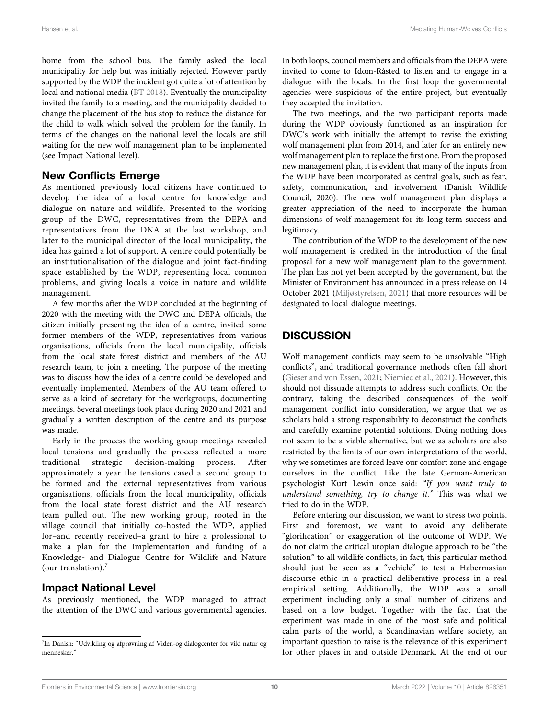home from the school bus. The family asked the local municipality for help but was initially rejected. However partly supported by the WDP the incident got quite a lot of attention by local and national media ([BT 2018\)](#page-13-19). Eventually the municipality invited the family to a meeting, and the municipality decided to change the placement of the bus stop to reduce the distance for the child to walk which solved the problem for the family. In terms of the changes on the national level the locals are still waiting for the new wolf management plan to be implemented (see Impact National level).

### New Conflicts Emerge

As mentioned previously local citizens have continued to develop the idea of a local centre for knowledge and dialogue on nature and wildlife. Presented to the working group of the DWC, representatives from the DEPA and representatives from the DNA at the last workshop, and later to the municipal director of the local municipality, the idea has gained a lot of support. A centre could potentially be an institutionalisation of the dialogue and joint fact-finding space established by the WDP, representing local common problems, and giving locals a voice in nature and wildlife management.

A few months after the WDP concluded at the beginning of 2020 with the meeting with the DWC and DEPA officials, the citizen initially presenting the idea of a centre, invited some former members of the WDP, representatives from various organisations, officials from the local municipality, officials from the local state forest district and members of the AU research team, to join a meeting. The purpose of the meeting was to discuss how the idea of a centre could be developed and eventually implemented. Members of the AU team offered to serve as a kind of secretary for the workgroups, documenting meetings. Several meetings took place during 2020 and 2021 and gradually a written description of the centre and its purpose was made.

Early in the process the working group meetings revealed local tensions and gradually the process reflected a more traditional strategic decision-making process. After approximately a year the tensions cased a second group to be formed and the external representatives from various organisations, officials from the local municipality, officials from the local state forest district and the AU research team pulled out. The new working group, rooted in the village council that initially co-hosted the WDP, applied for–and recently received–a grant to hire a professional to make a plan for the implementation and funding of a Knowledge- and Dialogue Centre for Wildlife and Nature (our translation). $<sup>7</sup>$ </sup>

### Impact National Level

As previously mentioned, the WDP managed to attract the attention of the DWC and various governmental agencies.

In both loops, council members and officials from the DEPA were invited to come to Idom-Råsted to listen and to engage in a dialogue with the locals. In the first loop the governmental agencies were suspicious of the entire project, but eventually they accepted the invitation.

The two meetings, and the two participant reports made during the WDP obviously functioned as an inspiration for DWC's work with initially the attempt to revise the existing wolf management plan from 2014, and later for an entirely new wolf management plan to replace the first one. From the proposed new management plan, it is evident that many of the inputs from the WDP have been incorporated as central goals, such as fear, safety, communication, and involvement (Danish Wildlife Council, 2020). The new wolf management plan displays a greater appreciation of the need to incorporate the human dimensions of wolf management for its long-term success and legitimacy.

The contribution of the WDP to the development of the new wolf management is credited in the introduction of the final proposal for a new wolf management plan to the government. The plan has not yet been accepted by the government, but the Minister of Environment has announced in a press release on 14 October 2021 ([Miljøstyrelsen, 2021](#page-14-30)) that more resources will be designated to local dialogue meetings.

# **DISCUSSION**

Wolf management conflicts may seem to be unsolvable "High conflicts", and traditional governance methods often fall short [\(Gieser and von Essen, 2021](#page-13-7); [Niemiec et al., 2021](#page-14-13)). However, this should not dissuade attempts to address such conflicts. On the contrary, taking the described consequences of the wolf management conflict into consideration, we argue that we as scholars hold a strong responsibility to deconstruct the conflicts and carefully examine potential solutions. Doing nothing does not seem to be a viable alternative, but we as scholars are also restricted by the limits of our own interpretations of the world, why we sometimes are forced leave our comfort zone and engage ourselves in the conflict. Like the late German-American psychologist Kurt Lewin once said: "If you want truly to understand something, try to change it." This was what we tried to do in the WDP.

Before entering our discussion, we want to stress two points. First and foremost, we want to avoid any deliberate "glorification" or exaggeration of the outcome of WDP. We do not claim the critical utopian dialogue approach to be "the solution" to all wildlife conflicts, in fact, this particular method should just be seen as a "vehicle" to test a Habermasian discourse ethic in a practical deliberative process in a real empirical setting. Additionally, the WDP was a small experiment including only a small number of citizens and based on a low budget. Together with the fact that the experiment was made in one of the most safe and political calm parts of the world, a Scandinavian welfare society, an important question to raise is the relevance of this experiment for other places in and outside Denmark. At the end of our

<sup>7</sup> In Danish: "Udvikling og afprøvning af Viden-og dialogcenter for vild natur og mennesker<sup>?</sup>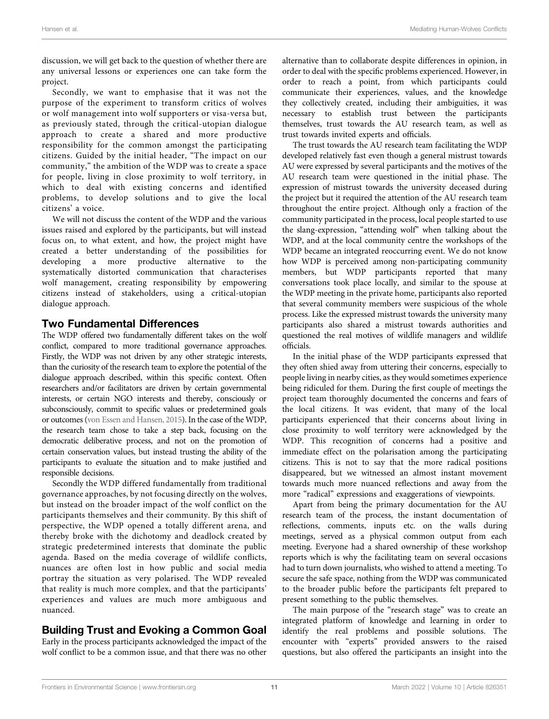discussion, we will get back to the question of whether there are any universal lessons or experiences one can take form the project.

Secondly, we want to emphasise that it was not the purpose of the experiment to transform critics of wolves or wolf management into wolf supporters or visa-versa but, as previously stated, through the critical-utopian dialogue approach to create a shared and more productive responsibility for the common amongst the participating citizens. Guided by the initial header, "The impact on our community," the ambition of the WDP was to create a space for people, living in close proximity to wolf territory, in which to deal with existing concerns and identified problems, to develop solutions and to give the local citizens' a voice.

We will not discuss the content of the WDP and the various issues raised and explored by the participants, but will instead focus on, to what extent, and how, the project might have created a better understanding of the possibilities for developing a more productive alternative to the systematically distorted communication that characterises wolf management, creating responsibility by empowering citizens instead of stakeholders, using a critical-utopian dialogue approach.

### Two Fundamental Differences

The WDP offered two fundamentally different takes on the wolf conflict, compared to more traditional governance approaches. Firstly, the WDP was not driven by any other strategic interests, than the curiosity of the research team to explore the potential of the dialogue approach described, within this specific context. Often researchers and/or facilitators are driven by certain governmental interests, or certain NGO interests and thereby, consciously or subconsciously, commit to specific values or predetermined goals or outcomes [\(von Essen and Hansen, 2015](#page-14-10)). In the case of the WDP, the research team chose to take a step back, focusing on the democratic deliberative process, and not on the promotion of certain conservation values, but instead trusting the ability of the participants to evaluate the situation and to make justified and responsible decisions.

Secondly the WDP differed fundamentally from traditional governance approaches, by not focusing directly on the wolves, but instead on the broader impact of the wolf conflict on the participants themselves and their community. By this shift of perspective, the WDP opened a totally different arena, and thereby broke with the dichotomy and deadlock created by strategic predetermined interests that dominate the public agenda. Based on the media coverage of wildlife conflicts, nuances are often lost in how public and social media portray the situation as very polarised. The WDP revealed that reality is much more complex, and that the participants' experiences and values are much more ambiguous and nuanced.

### Building Trust and Evoking a Common Goal

Early in the process participants acknowledged the impact of the wolf conflict to be a common issue, and that there was no other alternative than to collaborate despite differences in opinion, in order to deal with the specific problems experienced. However, in order to reach a point, from which participants could communicate their experiences, values, and the knowledge they collectively created, including their ambiguities, it was necessary to establish trust between the participants themselves, trust towards the AU research team, as well as trust towards invited experts and officials.

The trust towards the AU research team facilitating the WDP developed relatively fast even though a general mistrust towards AU were expressed by several participants and the motives of the AU research team were questioned in the initial phase. The expression of mistrust towards the university deceased during the project but it required the attention of the AU research team throughout the entire project. Although only a fraction of the community participated in the process, local people started to use the slang-expression, "attending wolf" when talking about the WDP, and at the local community centre the workshops of the WDP became an integrated reoccurring event. We do not know how WDP is perceived among non-participating community members, but WDP participants reported that many conversations took place locally, and similar to the spouse at the WDP meeting in the private home, participants also reported that several community members were suspicious of the whole process. Like the expressed mistrust towards the university many participants also shared a mistrust towards authorities and questioned the real motives of wildlife managers and wildlife officials.

In the initial phase of the WDP participants expressed that they often shied away from uttering their concerns, especially to people living in nearby cities, as they would sometimes experience being ridiculed for them. During the first couple of meetings the project team thoroughly documented the concerns and fears of the local citizens. It was evident, that many of the local participants experienced that their concerns about living in close proximity to wolf territory were acknowledged by the WDP. This recognition of concerns had a positive and immediate effect on the polarisation among the participating citizens. This is not to say that the more radical positions disappeared, but we witnessed an almost instant movement towards much more nuanced reflections and away from the more "radical" expressions and exaggerations of viewpoints.

Apart from being the primary documentation for the AU research team of the process, the instant documentation of reflections, comments, inputs etc. on the walls during meetings, served as a physical common output from each meeting. Everyone had a shared ownership of these workshop reports which is why the facilitating team on several occasions had to turn down journalists, who wished to attend a meeting. To secure the safe space, nothing from the WDP was communicated to the broader public before the participants felt prepared to present something to the public themselves.

The main purpose of the "research stage" was to create an integrated platform of knowledge and learning in order to identify the real problems and possible solutions. The encounter with "experts" provided answers to the raised questions, but also offered the participants an insight into the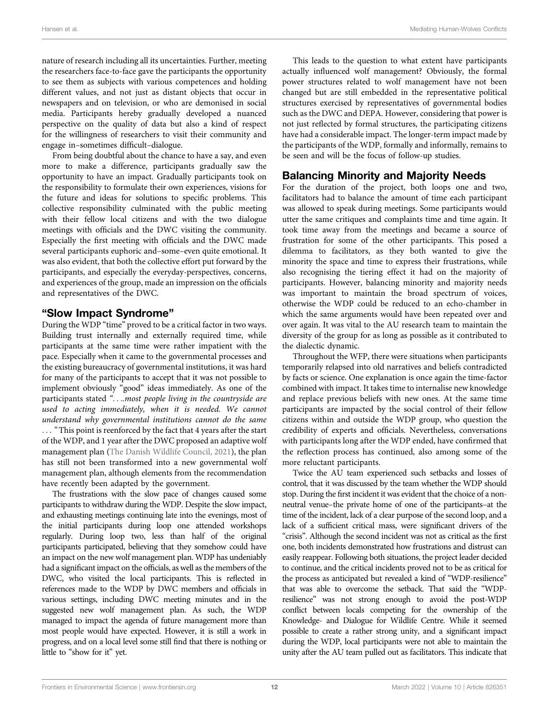nature of research including all its uncertainties. Further, meeting the researchers face-to-face gave the participants the opportunity to see them as subjects with various competences and holding different values, and not just as distant objects that occur in newspapers and on television, or who are demonised in social media. Participants hereby gradually developed a nuanced perspective on the quality of data but also a kind of respect for the willingness of researchers to visit their community and engage in–sometimes difficult–dialogue.

From being doubtful about the chance to have a say, and even more to make a difference, participants gradually saw the opportunity to have an impact. Gradually participants took on the responsibility to formulate their own experiences, visions for the future and ideas for solutions to specific problems. This collective responsibility culminated with the public meeting with their fellow local citizens and with the two dialogue meetings with officials and the DWC visiting the community. Especially the first meeting with officials and the DWC made several participants euphoric and–some–even quite emotional. It was also evident, that both the collective effort put forward by the participants, and especially the everyday-perspectives, concerns, and experiences of the group, made an impression on the officials and representatives of the DWC.

### "Slow Impact Syndrome"

During the WDP "time" proved to be a critical factor in two ways. Building trust internally and externally required time, while participants at the same time were rather impatient with the pace. Especially when it came to the governmental processes and the existing bureaucracy of governmental institutions, it was hard for many of the participants to accept that it was not possible to implement obviously "good" ideas immediately. As one of the participants stated "....most people living in the countryside are used to acting immediately, when it is needed. We cannot understand why governmental institutions cannot do the same ... " This point is reenforced by the fact that 4 years after the start of the WDP, and 1 year after the DWC proposed an adaptive wolf management plan ([The Danish Wildlife Council, 2021\)](#page-13-20), the plan has still not been transformed into a new governmental wolf management plan, although elements from the recommendation have recently been adapted by the government.

The frustrations with the slow pace of changes caused some participants to withdraw during the WDP. Despite the slow impact, and exhausting meetings continuing late into the evenings, most of the initial participants during loop one attended workshops regularly. During loop two, less than half of the original participants participated, believing that they somehow could have an impact on the new wolf management plan. WDP has undeniably had a significant impact on the officials, as well as the members of the DWC, who visited the local participants. This is reflected in references made to the WDP by DWC members and officials in various settings, including DWC meeting minutes and in the suggested new wolf management plan. As such, the WDP managed to impact the agenda of future management more than most people would have expected. However, it is still a work in progress, and on a local level some still find that there is nothing or little to "show for it" yet.

This leads to the question to what extent have participants actually influenced wolf management? Obviously, the formal power structures related to wolf management have not been changed but are still embedded in the representative political structures exercised by representatives of governmental bodies such as the DWC and DEPA. However, considering that power is not just reflected by formal structures, the participating citizens have had a considerable impact. The longer-term impact made by the participants of the WDP, formally and informally, remains to be seen and will be the focus of follow-up studies.

### Balancing Minority and Majority Needs

For the duration of the project, both loops one and two, facilitators had to balance the amount of time each participant was allowed to speak during meetings. Some participants would utter the same critiques and complaints time and time again. It took time away from the meetings and became a source of frustration for some of the other participants. This posed a dilemma to facilitators, as they both wanted to give the minority the space and time to express their frustrations, while also recognising the tiering effect it had on the majority of participants. However, balancing minority and majority needs was important to maintain the broad spectrum of voices, otherwise the WDP could be reduced to an echo-chamber in which the same arguments would have been repeated over and over again. It was vital to the AU research team to maintain the diversity of the group for as long as possible as it contributed to the dialectic dynamic.

Throughout the WFP, there were situations when participants temporarily relapsed into old narratives and beliefs contradicted by facts or science. One explanation is once again the time-factor combined with impact. It takes time to internalise new knowledge and replace previous beliefs with new ones. At the same time participants are impacted by the social control of their fellow citizens within and outside the WDP group, who question the credibility of experts and officials. Nevertheless, conversations with participants long after the WDP ended, have confirmed that the reflection process has continued, also among some of the more reluctant participants.

Twice the AU team experienced such setbacks and losses of control, that it was discussed by the team whether the WDP should stop. During the first incident it was evident that the choice of a nonneutral venue–the private home of one of the participants–at the time of the incident, lack of a clear purpose of the second loop, and a lack of a sufficient critical mass, were significant drivers of the "crisis". Although the second incident was not as critical as the first one, both incidents demonstrated how frustrations and distrust can easily reappear. Following both situations, the project leader decided to continue, and the critical incidents proved not to be as critical for the process as anticipated but revealed a kind of "WDP-resilience" that was able to overcome the setback. That said the "WDPresilience" was not strong enough to avoid the post-WDP conflict between locals competing for the ownership of the Knowledge- and Dialogue for Wildlife Centre. While it seemed possible to create a rather strong unity, and a significant impact during the WDP, local participants were not able to maintain the unity after the AU team pulled out as facilitators. This indicate that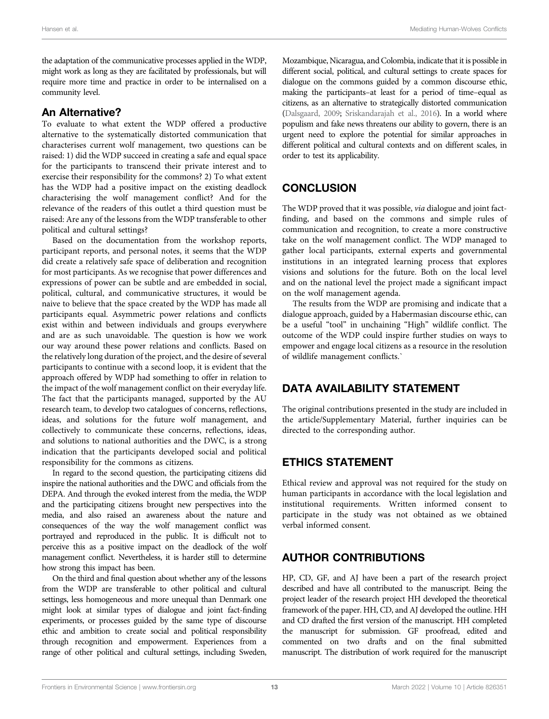the adaptation of the communicative processes applied in the WDP, might work as long as they are facilitated by professionals, but will require more time and practice in order to be internalised on a community level.

### An Alternative?

To evaluate to what extent the WDP offered a productive alternative to the systematically distorted communication that characterises current wolf management, two questions can be raised: 1) did the WDP succeed in creating a safe and equal space for the participants to transcend their private interest and to exercise their responsibility for the commons? 2) To what extent has the WDP had a positive impact on the existing deadlock characterising the wolf management conflict? And for the relevance of the readers of this outlet a third question must be raised: Are any of the lessons from the WDP transferable to other political and cultural settings?

Based on the documentation from the workshop reports, participant reports, and personal notes, it seems that the WDP did create a relatively safe space of deliberation and recognition for most participants. As we recognise that power differences and expressions of power can be subtle and are embedded in social, political, cultural, and communicative structures, it would be naive to believe that the space created by the WDP has made all participants equal. Asymmetric power relations and conflicts exist within and between individuals and groups everywhere and are as such unavoidable. The question is how we work our way around these power relations and conflicts. Based on the relatively long duration of the project, and the desire of several participants to continue with a second loop, it is evident that the approach offered by WDP had something to offer in relation to the impact of the wolf management conflict on their everyday life. The fact that the participants managed, supported by the AU research team, to develop two catalogues of concerns, reflections, ideas, and solutions for the future wolf management, and collectively to communicate these concerns, reflections, ideas, and solutions to national authorities and the DWC, is a strong indication that the participants developed social and political responsibility for the commons as citizens.

In regard to the second question, the participating citizens did inspire the national authorities and the DWC and officials from the DEPA. And through the evoked interest from the media, the WDP and the participating citizens brought new perspectives into the media, and also raised an awareness about the nature and consequences of the way the wolf management conflict was portrayed and reproduced in the public. It is difficult not to perceive this as a positive impact on the deadlock of the wolf management conflict. Nevertheless, it is harder still to determine how strong this impact has been.

On the third and final question about whether any of the lessons from the WDP are transferable to other political and cultural settings, less homogeneous and more unequal than Denmark one might look at similar types of dialogue and joint fact-finding experiments, or processes guided by the same type of discourse ethic and ambition to create social and political responsibility through recognition and empowerment. Experiences from a range of other political and cultural settings, including Sweden, Mozambique, Nicaragua, and Colombia, indicate that it is possible in different social, political, and cultural settings to create spaces for dialogue on the commons guided by a common discourse ethic, making the participants–at least for a period of time–equal as citizens, as an alternative to strategically distorted communication [\(Dalsgaard, 2009;](#page-13-21) [Sriskandarajah et al., 2016\)](#page-14-31). In a world where populism and fake news threatens our ability to govern, there is an urgent need to explore the potential for similar approaches in different political and cultural contexts and on different scales, in order to test its applicability.

# **CONCLUSION**

The WDP proved that it was possible, via dialogue and joint factfinding, and based on the commons and simple rules of communication and recognition, to create a more constructive take on the wolf management conflict. The WDP managed to gather local participants, external experts and governmental institutions in an integrated learning process that explores visions and solutions for the future. Both on the local level and on the national level the project made a significant impact on the wolf management agenda.

The results from the WDP are promising and indicate that a dialogue approach, guided by a Habermasian discourse ethic, can be a useful "tool" in unchaining "High" wildlife conflict. The outcome of the WDP could inspire further studies on ways to empower and engage local citizens as a resource in the resolution of wildlife management conflicts.`

### DATA AVAILABILITY STATEMENT

The original contributions presented in the study are included in the article/Supplementary Material, further inquiries can be directed to the corresponding author.

# ETHICS STATEMENT

Ethical review and approval was not required for the study on human participants in accordance with the local legislation and institutional requirements. Written informed consent to participate in the study was not obtained as we obtained verbal informed consent.

# AUTHOR CONTRIBUTIONS

HP, CD, GF, and AJ have been a part of the research project described and have all contributed to the manuscript. Being the project leader of the research project HH developed the theoretical framework of the paper. HH, CD, and AJ developed the outline. HH and CD drafted the first version of the manuscript. HH completed the manuscript for submission. GF proofread, edited and commented on two drafts and on the final submitted manuscript. The distribution of work required for the manuscript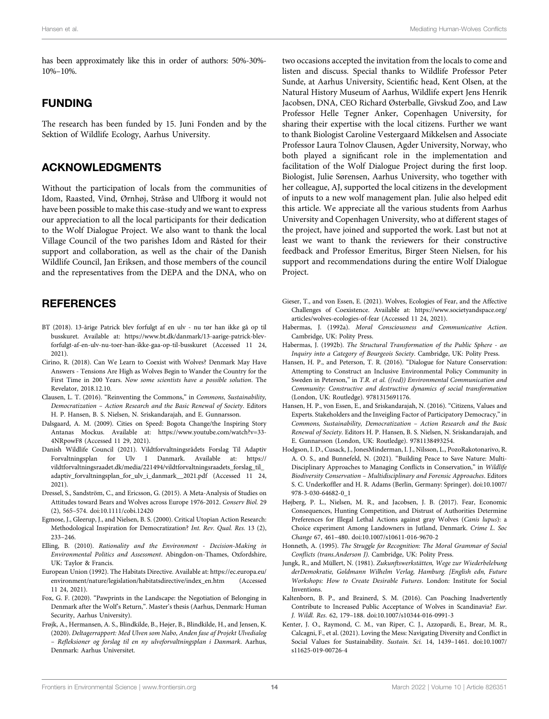has been approximately like this in order of authors: 50%-30%- 10%–10%.

### FUNDING

The research has been funded by 15. Juni Fonden and by the Sektion of Wildlife Ecology, Aarhus University.

### ACKNOWLEDGMENTS

Without the participation of locals from the communities of Idom, Raasted, Vind, Ørnhøj, Stråsø and Ulfborg it would not have been possible to make this case-study and we want to express our appreciation to all the local participants for their dedication to the Wolf Dialogue Project. We also want to thank the local Village Council of the two parishes Idom and Råsted for their support and collaboration, as well as the chair of the Danish Wildlife Council, Jan Eriksen, and those members of the council and the representatives from the DEPA and the DNA, who on

### **REFERENCES**

- <span id="page-13-19"></span>BT (2018). 13-årige Patrick blev forfulgt af en ulv - nu tør han ikke gå op til busskuret. Available at: [https://www.bt.dk/danmark/13-aarige-patrick-blev](https://www.bt.dk/danmark/13-aarige-patrick-blev-forfulgt-af-en-ulv-nu-toer-han-ikke-gaa-op-til-busskuret)[forfulgt-af-en-ulv-nu-toer-han-ikke-gaa-op-til-busskuret](https://www.bt.dk/danmark/13-aarige-patrick-blev-forfulgt-af-en-ulv-nu-toer-han-ikke-gaa-op-til-busskuret) (Accessed 11 24, 2021).
- <span id="page-13-18"></span>Cirino, R. (2018). Can We Learn to Coexist with Wolves? Denmark May Have Answers - Tensions Are High as Wolves Begin to Wander the Country for the First Time in 200 Years. Now some scientists have a possible solution. The Revelator, 2018.12.10.
- <span id="page-13-12"></span>Clausen, L. T. (2016). "Reinventing the Commons," in Commons, Sustainability, Democratization – Action Research and the Basic Renewal of Society. Editors H. P. Hansen, B. S. Nielsen, N. Sriskandarajah, and E. Gunnarsson.
- <span id="page-13-21"></span>Dalsgaard, A. M. (2009). Cities on Speed: Bogota Change/the Inspiring Story Antanas Mockus. Available at: [https://www.youtube.com/watch?v=33-](https://www.youtube.com/watch?v=33-4NRpowF8) [4NRpowF8](https://www.youtube.com/watch?v=33-4NRpowF8) (Accessed 11 29, 2021).
- <span id="page-13-20"></span>Danish Wildlife Council (2021). Vildtforvaltningsrådets Forslag Til Adaptiv Forvaltningsplan for Ulv I Danmark. Available at: [https://](https://vildtforvaltningsraadet.dk/media/221494/vildtforvaltningsraadets_forslag_til_adaptiv_forvaltningsplan_for_ulv_i_danmark__2021.pdf) [vildtforvaltningsraadet.dk/media/221494/vildtforvaltningsraadets\\_forslag\\_til\\_](https://vildtforvaltningsraadet.dk/media/221494/vildtforvaltningsraadets_forslag_til_adaptiv_forvaltningsplan_for_ulv_i_danmark__2021.pdf) [adaptiv\\_forvaltningsplan\\_for\\_ulv\\_i\\_danmark\\_\\_2021.pdf](https://vildtforvaltningsraadet.dk/media/221494/vildtforvaltningsraadets_forslag_til_adaptiv_forvaltningsplan_for_ulv_i_danmark__2021.pdf) (Accessed 11 24, 2021).
- <span id="page-13-2"></span>Dressel, S., Sandström, C., and Ericsson, G. (2015). A Meta-Analysis of Studies on Attitudes toward Bears and Wolves across Europe 1976-2012. Conserv Biol. 29 (2), 565–574. doi:[10.1111/cobi.12420](https://doi.org/10.1111/cobi.12420)
- <span id="page-13-9"></span>Egmose, J., Gleerup, J., and Nielsen, B. S. (2000). Critical Utopian Action Research: Methodological Inspiration for Democratization? Int. Rev. Qual. Res. 13 (2), 233–246.
- <span id="page-13-11"></span>Elling, B. (2010). Rationality and the Environment - Decision-Making in Environmental Politics and Assessment. Abingdon-on-Thames, Oxfordshire, UK: Taylor & Francis.
- <span id="page-13-8"></span>European Union (1992). The Habitats Directive. Available at: [https://ec.europa.eu/](https://ec.europa.eu/environment/nature/legislation/habitatsdirective/index_en.htm) [environment/nature/legislation/habitatsdirective/index\\_en.htm](https://ec.europa.eu/environment/nature/legislation/habitatsdirective/index_en.htm) (Accessed 11 24, 2021).
- <span id="page-13-17"></span>Fox, G. F. (2020). "Pawprints in the Landscape: the Negotiation of Belonging in Denmark after the Wolf's Return,". Master's thesis (Aarhus, Denmark: Human Security, Aarhus University).
- <span id="page-13-16"></span>Frøjk, A., Hermansen, A. S., Blindkilde, B., Højer, B., Blindkilde, H., and Jensen, K. (2020). Deltagerrapport: Med Ulven som Nabo, Anden fase af Projekt Ulvedialog – Refleksioner og forslag til en ny ulveforvaltningsplan i Danmark. Aarhus, Denmark: Aarhus Universitet.

two occasions accepted the invitation from the locals to come and listen and discuss. Special thanks to Wildlife Professor Peter Sunde, at Aarhus University, Scientific head, Kent Olsen, at the Natural History Museum of Aarhus, Wildlife expert Jens Henrik Jacobsen, DNA, CEO Richard Østerballe, Givskud Zoo, and Law Professor Helle Tegner Anker, Copenhagen University, for sharing their expertise with the local citizens. Further we want to thank Biologist Caroline Vestergaard Mikkelsen and Associate Professor Laura Tolnov Clausen, Agder University, Norway, who both played a significant role in the implementation and facilitation of the Wolf Dialogue Project during the first loop. Biologist, Julie Sørensen, Aarhus University, who together with her colleague, AJ, supported the local citizens in the development of inputs to a new wolf management plan. Julie also helped edit this article. We appreciate all the various students from Aarhus University and Copenhagen University, who at different stages of the project, have joined and supported the work. Last but not at least we want to thank the reviewers for their constructive feedback and Professor Emeritus, Birger Steen Nielsen, for his support and recommendations during the entire Wolf Dialogue Project.

- <span id="page-13-7"></span>Gieser, T., and von Essen, E. (2021). Wolves, Ecologies of Fear, and the Affective Challenges of Coexistence. Available at: [https://www.societyandspace.org/](https://www.societyandspace.org/articles/wolves-ecologies-of-fear) [articles/wolves-ecologies-of-fear](https://www.societyandspace.org/articles/wolves-ecologies-of-fear) (Accessed 11 24, 2021).
- <span id="page-13-13"></span>Habermas, J. (1992a). Moral Consciousness and Communicative Action. Cambridge, UK: Polity Press.
- <span id="page-13-15"></span>Habermas, J. (1992b). The Structural Transformation of the Public Sphere - an Inquiry into a Category of Bourgeois Society. Cambridge, UK: Polity Press.
- <span id="page-13-4"></span>Hansen, H. P., and Peterson, T. R. (2016). "Dialogue for Nature Conservation: Attempting to Construct an Inclusive Environmental Policy Community in Sweden in Peterson," in T.R. et al. ((red)) Environmental Communication and Community: Constructive and destructive dynamics of social transformation (London, UK: Routledge). 9781315691176.
- <span id="page-13-3"></span>Hansen, H. P., von Essen, E., and Sriskandarajah, N. (2016). "Citizens, Values and Experts. Stakeholders and the Inveigling Factor of Participatory Democracy,"in Commons, Sustainability, Democratization – Action Research and the Basic Renewal of Society. Editors H. P. Hansen, B. S. Nielsen, N. Sriskandarajah, and E. Gunnarsson (London, UK: Routledge). 9781138493254.
- <span id="page-13-6"></span>Hodgson, I. D., Cusack, J., JonesMinderman, I. J., Nilsson, L., PozoRakotonarivo, R. A. O. S., and Bunnefeld, N. (2021). "Building Peace to Save Nature: Multi-Disciplinary Approaches to Managing Conflicts in Conservation," in Wildlife Biodiversity Conservation – Multidisciplinary and Forensic Approaches. Editors S. C. Underkoffler and H. R. Adams (Berlin, Germany: Springer). doi[:10.1007/](https://doi.org/10.1007/978-3-030-64682-0_1) [978-3-030-64682-0\\_1](https://doi.org/10.1007/978-3-030-64682-0_1)
- <span id="page-13-1"></span>Højberg, P. L., Nielsen, M. R., and Jacobsen, J. B. (2017). Fear, Economic Consequences, Hunting Competition, and Distrust of Authorities Determine Preferences for Illegal Lethal Actions against gray Wolves (Canis lupus): a Choice experiment Among Landowners in Jutland, Denmark. Crime L. Soc Change 67, 461–480. doi:[10.1007/s10611-016-9670-2](https://doi.org/10.1007/s10611-016-9670-2)
- <span id="page-13-14"></span>Honneth, A. (1995). The Struggle for Recognition: The Moral Grammar of Social Conflicts (trans.Anderson J). Cambridge, UK: Polity Press.
- <span id="page-13-10"></span>Jungk, R., and Müllert, N. (1981). Zukunftswerkstätten, Wege zur Wiederbelebung derDemokratie, Goldmann Wilhelm Verlag, Hamburg. [English edn, Future Workshops: How to Create Desirable Futures. London: Institute for Social Inventions.
- <span id="page-13-0"></span>Kaltenborn, B. P., and Brainerd, S. M. (2016). Can Poaching Inadvertently Contribute to Increased Public Acceptance of Wolves in Scandinavia? Eur. J. Wildl. Res. 62, 179–188. doi[:10.1007/s10344-016-0991-3](https://doi.org/10.1007/s10344-016-0991-3)
- <span id="page-13-5"></span>Kenter, J. O., Raymond, C. M., van Riper, C. J., Azzopardi, E., Brear, M. R., Calcagni, F., et al. (2021). Loving the Mess: Navigating Diversity and Conflict in Social Values for Sustainability. Sustain. Sci. 14, 1439–1461. doi[:10.1007/](https://doi.org/10.1007/s11625-019-00726-4) [s11625-019-00726-4](https://doi.org/10.1007/s11625-019-00726-4)